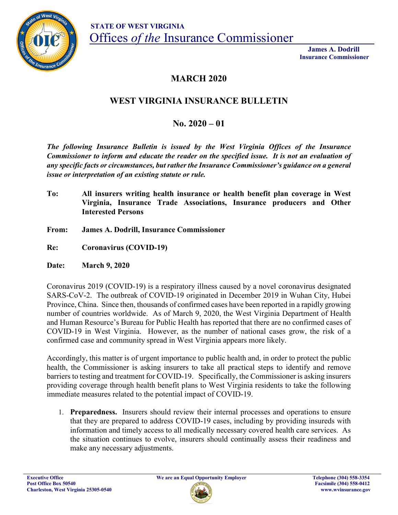

 **James A. Dodrill Insurance Commissioner**

## **MARCH 2020**

## **WEST VIRGINIA INSURANCE BULLETIN**

## **No. 2020 – 01**

*The following Insurance Bulletin is issued by the West Virginia Offices of the Insurance Commissioner to inform and educate the reader on the specified issue. It is not an evaluation of any specific facts or circumstances, but rather the Insurance Commissioner's guidance on a general issue or interpretation of an existing statute or rule.* 

- **To: All insurers writing health insurance or health benefit plan coverage in West Virginia, Insurance Trade Associations, Insurance producers and Other Interested Persons**
- **From: James A. Dodrill, Insurance Commissioner**
- **Re: Coronavirus (COVID-19)**

**Date: March 9, 2020**

Coronavirus 2019 (COVID-19) is a respiratory illness caused by a novel coronavirus designated SARS-CoV-2. The outbreak of COVID-19 originated in December 2019 in Wuhan City, Hubei Province, China. Since then, thousands of confirmed cases have been reported in a rapidly growing number of countries worldwide. As of March 9, 2020, the West Virginia Department of Health and Human Resource's Bureau for Public Health has reported that there are no confirmed cases of COVID-19 in West Virginia. However, as the number of national cases grow, the risk of a confirmed case and community spread in West Virginia appears more likely.

Accordingly, this matter is of urgent importance to public health and, in order to protect the public health, the Commissioner is asking insurers to take all practical steps to identify and remove barriers to testing and treatment for COVID-19. Specifically, the Commissioner is asking insurers providing coverage through health benefit plans to West Virginia residents to take the following immediate measures related to the potential impact of COVID-19.

1. **Preparedness.** Insurers should review their internal processes and operations to ensure that they are prepared to address COVID-19 cases, including by providing insureds with information and timely access to all medically necessary covered health care services. As the situation continues to evolve, insurers should continually assess their readiness and make any necessary adjustments.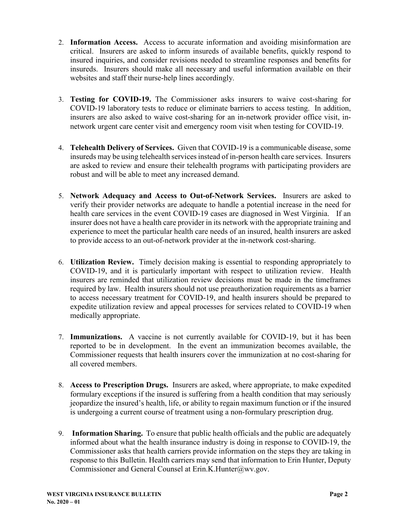- 2. **Information Access.** Access to accurate information and avoiding misinformation are critical. Insurers are asked to inform insureds of available benefits, quickly respond to insured inquiries, and consider revisions needed to streamline responses and benefits for insureds. Insurers should make all necessary and useful information available on their websites and staff their nurse-help lines accordingly.
- 3. **Testing for COVID-19.** The Commissioner asks insurers to waive cost-sharing for COVID-19 laboratory tests to reduce or eliminate barriers to access testing. In addition, insurers are also asked to waive cost-sharing for an in-network provider office visit, innetwork urgent care center visit and emergency room visit when testing for COVID-19.
- 4. **Telehealth Delivery of Services.** Given that COVID-19 is a communicable disease, some insureds may be using telehealth services instead of in-person health care services. Insurers are asked to review and ensure their telehealth programs with participating providers are robust and will be able to meet any increased demand.
- 5. **Network Adequacy and Access to Out-of-Network Services.** Insurers are asked to verify their provider networks are adequate to handle a potential increase in the need for health care services in the event COVID-19 cases are diagnosed in West Virginia. If an insurer does not have a health care provider in its network with the appropriate training and experience to meet the particular health care needs of an insured, health insurers are asked to provide access to an out-of-network provider at the in-network cost-sharing.
- 6. **Utilization Review.** Timely decision making is essential to responding appropriately to COVID-19, and it is particularly important with respect to utilization review. Health insurers are reminded that utilization review decisions must be made in the timeframes required by law. Health insurers should not use preauthorization requirements as a barrier to access necessary treatment for COVID-19, and health insurers should be prepared to expedite utilization review and appeal processes for services related to COVID-19 when medically appropriate.
- 7. **Immunizations.** A vaccine is not currently available for COVID-19, but it has been reported to be in development. In the event an immunization becomes available, the Commissioner requests that health insurers cover the immunization at no cost-sharing for all covered members.
- 8. **Access to Prescription Drugs.** Insurers are asked, where appropriate, to make expedited formulary exceptions if the insured is suffering from a health condition that may seriously jeopardize the insured's health, life, or ability to regain maximum function or if the insured is undergoing a current course of treatment using a non-formulary prescription drug.
- 9. **Information Sharing.** To ensure that public health officials and the public are adequately informed about what the health insurance industry is doing in response to COVID-19, the Commissioner asks that health carriers provide information on the steps they are taking in response to this Bulletin. Health carriers may send that information to Erin Hunter, Deputy Commissioner and General Counsel at Erin.K.Hunter@wv.gov.